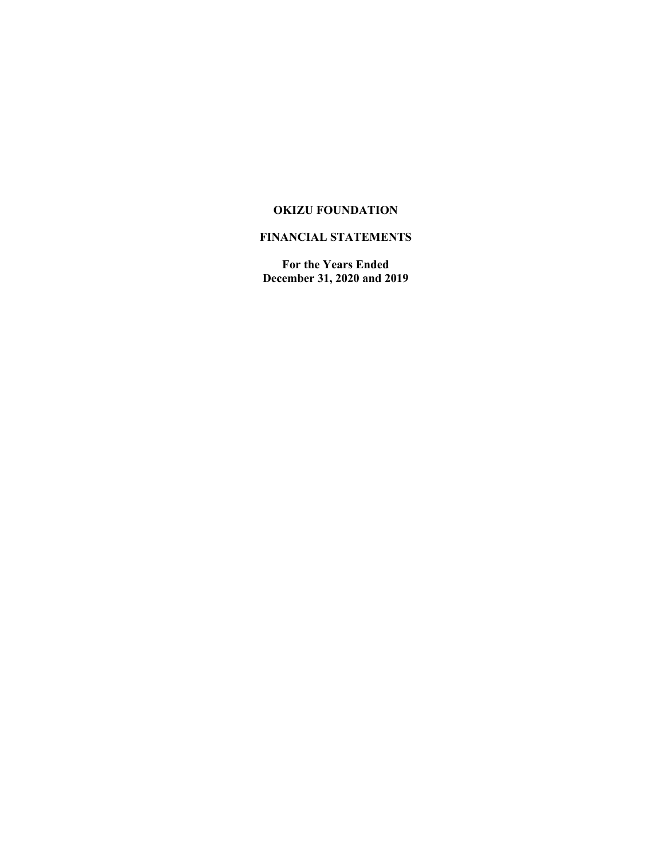# **FINANCIAL STATEMENTS**

**For the Years Ended December 31, 2020 and 2019**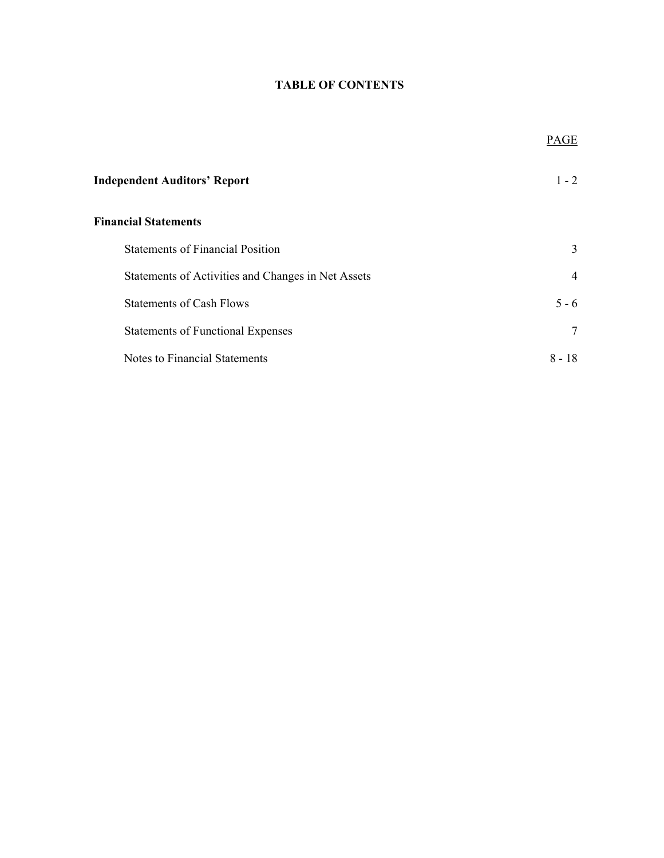# **TABLE OF CONTENTS**

|                                                    | PAGE           |
|----------------------------------------------------|----------------|
| <b>Independent Auditors' Report</b>                | $1 - 2$        |
| <b>Financial Statements</b>                        |                |
| <b>Statements of Financial Position</b>            | 3              |
| Statements of Activities and Changes in Net Assets | $\overline{4}$ |
| <b>Statements of Cash Flows</b>                    | $5 - 6$        |
| <b>Statements of Functional Expenses</b>           | 7              |
| Notes to Financial Statements                      | $8 - 18$       |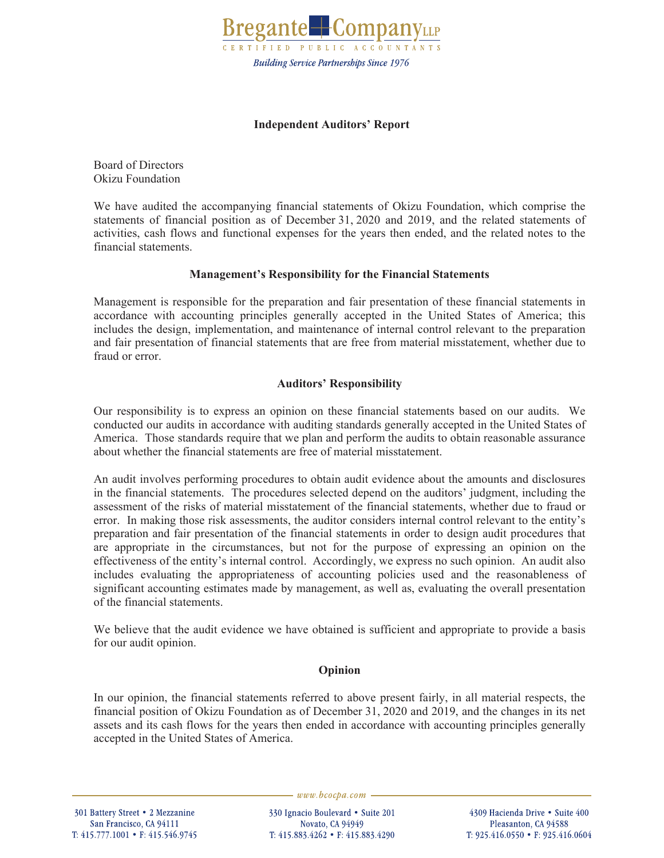

# **Independent Auditors' Report**

Board of Directors Okizu Foundation

We have audited the accompanying financial statements of Okizu Foundation, which comprise the statements of financial position as of December 31, 2020 and 2019, and the related statements of activities, cash flows and functional expenses for the years then ended, and the related notes to the financial statements.

# **Management's Responsibility for the Financial Statements**

Management is responsible for the preparation and fair presentation of these financial statements in accordance with accounting principles generally accepted in the United States of America; this includes the design, implementation, and maintenance of internal control relevant to the preparation and fair presentation of financial statements that are free from material misstatement, whether due to fraud or error.

# **Auditors' Responsibility**

Our responsibility is to express an opinion on these financial statements based on our audits. We conducted our audits in accordance with auditing standards generally accepted in the United States of America. Those standards require that we plan and perform the audits to obtain reasonable assurance about whether the financial statements are free of material misstatement.

An audit involves performing procedures to obtain audit evidence about the amounts and disclosures in the financial statements. The procedures selected depend on the auditors' judgment, including the assessment of the risks of material misstatement of the financial statements, whether due to fraud or error. In making those risk assessments, the auditor considers internal control relevant to the entity's preparation and fair presentation of the financial statements in order to design audit procedures that are appropriate in the circumstances, but not for the purpose of expressing an opinion on the effectiveness of the entity's internal control. Accordingly, we express no such opinion. An audit also includes evaluating the appropriateness of accounting policies used and the reasonableness of significant accounting estimates made by management, as well as, evaluating the overall presentation of the financial statements.

We believe that the audit evidence we have obtained is sufficient and appropriate to provide a basis for our audit opinion.

## **Opinion**

In our opinion, the financial statements referred to above present fairly, in all material respects, the financial position of Okizu Foundation as of December 31, 2020 and 2019, and the changes in its net assets and its cash flows for the years then ended in accordance with accounting principles generally accepted in the United States of America.

301 Battery Street • 2 Mezzanine San Francisco, CA 94111 T: 415.777.1001 • F: 415.546.9745  $-www.bcocpa.com-$ 

330 Ignacio Boulevard • Suite 201 Novato, CA 94949 T: 415.883.4262 • F: 415.883.4290

4309 Hacienda Drive • Suite 400 Pleasanton, CA 94588 T: 925.416.0550 • F: 925.416.0604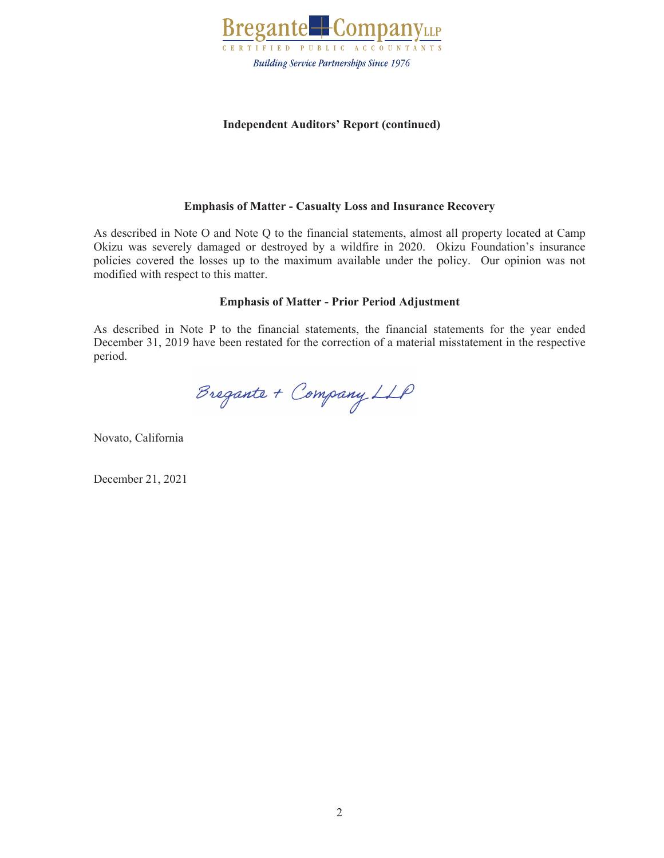

# **Independent Auditors' Report (continued)**

## **Emphasis of Matter - Casualty Loss and Insurance Recovery**

As described in Note O and Note Q to the financial statements, almost all property located at Camp Okizu was severely damaged or destroyed by a wildfire in 2020. Okizu Foundation's insurance policies covered the losses up to the maximum available under the policy. Our opinion was not modified with respect to this matter.

## **Emphasis of Matter - Prior Period Adjustment**

As described in Note P to the financial statements, the financial statements for the year ended December 31, 2019 have been restated for the correction of a material misstatement in the respective period.

Bregante + Company LLP

Novato, California

December 21, 2021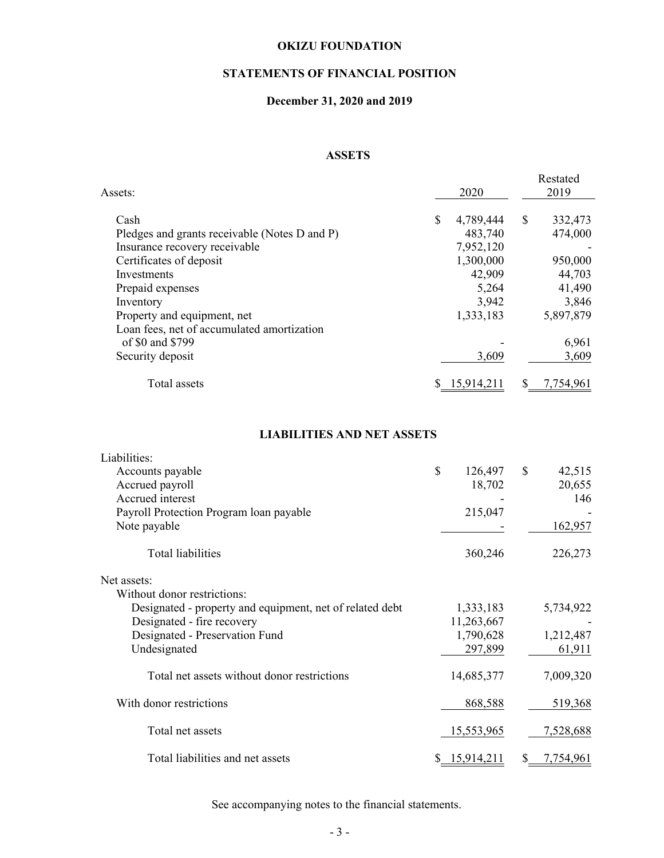# **STATEMENTS OF FINANCIAL POSITION**

# **December 31, 2020 and 2019**

## **ASSETS**

| Assets:                                       | 2020            |    | Restated<br>2019 |
|-----------------------------------------------|-----------------|----|------------------|
| Cash                                          | \$<br>4,789,444 | \$ | 332,473          |
| Pledges and grants receivable (Notes D and P) | 483,740         |    | 474,000          |
| Insurance recovery receivable                 | 7,952,120       |    |                  |
| Certificates of deposit                       | 1,300,000       |    | 950,000          |
| Investments                                   | 42,909          |    | 44,703           |
| Prepaid expenses                              | 5,264           |    | 41,490           |
| Inventory                                     | 3,942           |    | 3,846            |
| Property and equipment, net                   | 1,333,183       |    | 5,897,879        |
| Loan fees, net of accumulated amortization    |                 |    |                  |
| of \$0 and \$799                              |                 |    | 6,961            |
| Security deposit                              | 3,609           |    | 3,609            |
| Total assets                                  | 15,914,211      | S  | 7,754,961        |

## **LIABILITIES AND NET ASSETS**

| Liabilities:                                             |               |                 |
|----------------------------------------------------------|---------------|-----------------|
| Accounts payable                                         | \$<br>126,497 | \$<br>42,515    |
| Accrued payroll                                          | 18,702        | 20,655          |
| Accrued interest                                         |               | 146             |
| Payroll Protection Program loan payable                  | 215,047       |                 |
| Note payable                                             |               | 162,957         |
|                                                          |               |                 |
| Total liabilities                                        | 360,246       | 226,273         |
|                                                          |               |                 |
| Net assets:                                              |               |                 |
| Without donor restrictions:                              |               |                 |
| Designated - property and equipment, net of related debt | 1,333,183     | 5,734,922       |
| Designated - fire recovery                               | 11,263,667    |                 |
| Designated - Preservation Fund                           | 1,790,628     | 1,212,487       |
| Undesignated                                             | 297,899       | 61,911          |
|                                                          |               |                 |
| Total net assets without donor restrictions              | 14,685,377    | 7,009,320       |
|                                                          |               |                 |
| With donor restrictions                                  | 868,588       | 519,368         |
|                                                          |               |                 |
| Total net assets                                         | 15,553,965    | 7,528,688       |
|                                                          |               |                 |
| Total liabilities and net assets                         | \$15,914,211  | \$<br>7,754,961 |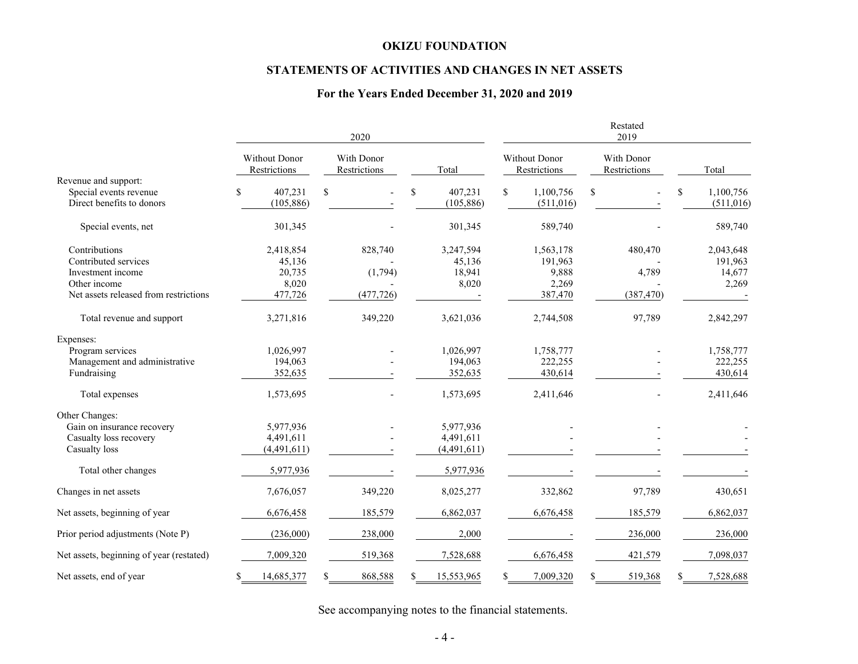# **STATEMENTS OF ACTIVITIES AND CHANGES IN NET ASSETS**

# **For the Years Ended December 31, 2020 and 2019**

|                                          |                               | 2020                       |                  | Restated<br>2019              |                            |                 |  |
|------------------------------------------|-------------------------------|----------------------------|------------------|-------------------------------|----------------------------|-----------------|--|
|                                          | Without Donor<br>Restrictions | With Donor<br>Restrictions | Total            | Without Donor<br>Restrictions | With Donor<br>Restrictions | Total           |  |
| Revenue and support:                     |                               |                            |                  |                               |                            |                 |  |
| Special events revenue                   | \$<br>407,231                 | \$                         | \$<br>407,231    | \$<br>1,100,756               | \$                         | \$<br>1,100,756 |  |
| Direct benefits to donors                | (105, 886)                    |                            | (105, 886)       | (511, 016)                    |                            | (511, 016)      |  |
| Special events, net                      | 301,345                       |                            | 301,345          | 589,740                       |                            | 589,740         |  |
| Contributions                            | 2,418,854                     | 828,740                    | 3,247,594        | 1,563,178                     | 480,470                    | 2,043,648       |  |
| Contributed services                     | 45,136                        |                            | 45,136           | 191,963                       |                            | 191,963         |  |
| Investment income                        | 20,735                        | (1,794)                    | 18,941           | 9,888                         | 4,789                      | 14,677          |  |
| Other income                             | 8,020                         |                            | 8,020            | 2,269                         |                            | 2,269           |  |
| Net assets released from restrictions    | 477,726                       | (477, 726)                 |                  | 387,470                       | (387, 470)                 |                 |  |
| Total revenue and support                | 3,271,816                     | 349,220                    | 3,621,036        | 2,744,508                     | 97,789                     | 2,842,297       |  |
| Expenses:                                |                               |                            |                  |                               |                            |                 |  |
| Program services                         | 1,026,997                     |                            | 1,026,997        | 1,758,777                     |                            | 1,758,777       |  |
| Management and administrative            | 194,063                       |                            | 194,063          | 222,255                       |                            | 222,255         |  |
| Fundraising                              | 352,635                       |                            | 352,635          | 430,614                       |                            | 430,614         |  |
| Total expenses                           | 1,573,695                     |                            | 1,573,695        | 2,411,646                     |                            | 2,411,646       |  |
| Other Changes:                           |                               |                            |                  |                               |                            |                 |  |
| Gain on insurance recovery               | 5,977,936                     |                            | 5,977,936        |                               |                            |                 |  |
| Casualty loss recovery                   | 4,491,611                     |                            | 4,491,611        |                               |                            |                 |  |
| Casualty loss                            | (4,491,611)                   |                            | (4,491,611)      |                               |                            |                 |  |
| Total other changes                      | 5,977,936                     |                            | 5,977,936        |                               |                            |                 |  |
| Changes in net assets                    | 7,676,057                     | 349,220                    | 8,025,277        | 332,862                       | 97,789                     | 430,651         |  |
| Net assets, beginning of year            | 6,676,458                     | 185,579                    | 6,862,037        | 6,676,458                     | 185,579                    | 6,862,037       |  |
| Prior period adjustments (Note P)        | (236,000)                     | 238,000                    | 2,000            |                               | 236,000                    | 236,000         |  |
| Net assets, beginning of year (restated) | 7,009,320                     | 519,368                    | 7,528,688        | 6,676,458                     | 421,579                    | 7,098,037       |  |
| Net assets, end of year                  | 14,685,377<br>\$              | 868,588<br>S               | \$<br>15,553,965 | 7,009,320<br>\$               | 519,368<br>S               | 7,528,688<br>S  |  |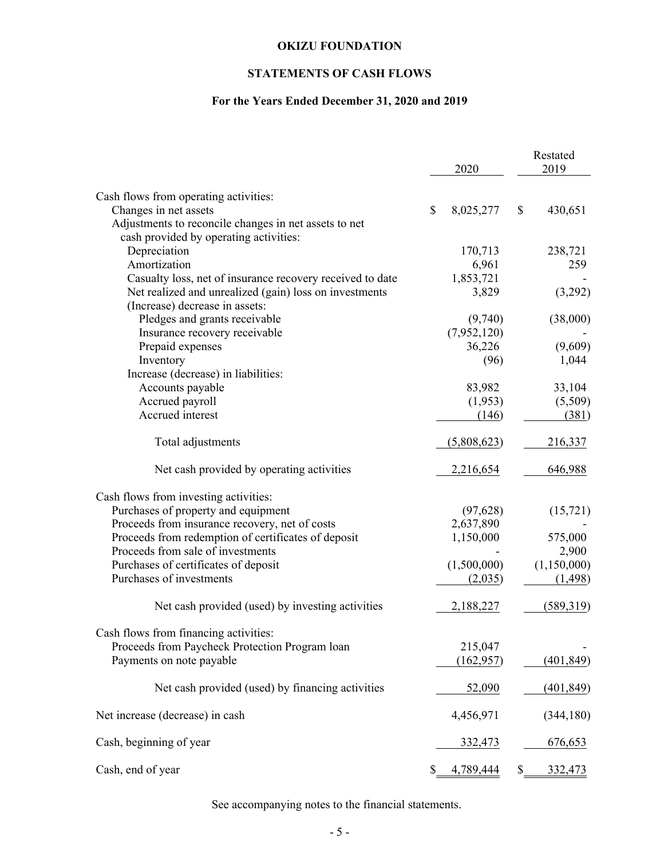# **STATEMENTS OF CASH FLOWS**

# **For the Years Ended December 31, 2020 and 2019**

|                                                           | 2020            | Restated<br>2019     |
|-----------------------------------------------------------|-----------------|----------------------|
| Cash flows from operating activities:                     |                 |                      |
| Changes in net assets                                     | \$<br>8,025,277 | \$<br>430,651        |
| Adjustments to reconcile changes in net assets to net     |                 |                      |
| cash provided by operating activities:                    |                 |                      |
| Depreciation                                              | 170,713         | 238,721              |
| Amortization                                              | 6,961           | 259                  |
| Casualty loss, net of insurance recovery received to date | 1,853,721       |                      |
| Net realized and unrealized (gain) loss on investments    | 3,829           | (3,292)              |
| (Increase) decrease in assets:                            |                 |                      |
| Pledges and grants receivable                             | (9,740)         | (38,000)             |
| Insurance recovery receivable                             | (7,952,120)     |                      |
| Prepaid expenses                                          | 36,226          | (9,609)              |
| Inventory                                                 | (96)            | 1,044                |
| Increase (decrease) in liabilities:                       |                 |                      |
| Accounts payable                                          | 83,982          | 33,104               |
| Accrued payroll                                           | (1,953)         | (5,509)              |
| Accrued interest                                          | (146)           | (381)                |
| Total adjustments                                         | (5,808,623)     | 216,337              |
| Net cash provided by operating activities                 | 2,216,654       | 646,988              |
| Cash flows from investing activities:                     |                 |                      |
| Purchases of property and equipment                       | (97, 628)       | (15, 721)            |
| Proceeds from insurance recovery, net of costs            | 2,637,890       |                      |
| Proceeds from redemption of certificates of deposit       | 1,150,000       | 575,000              |
| Proceeds from sale of investments                         |                 | 2,900                |
| Purchases of certificates of deposit                      | (1,500,000)     | (1,150,000)          |
| Purchases of investments                                  | (2,035)         | (1, 498)             |
| Net cash provided (used) by investing activities          | 2,188,227       | (589, 319)           |
| Cash flows from financing activities:                     |                 |                      |
| Proceeds from Paycheck Protection Program loan            | 215,047         |                      |
| Payments on note payable                                  | (162, 957)      | (401, 849)           |
| Net cash provided (used) by financing activities          | 52,090          | (401, 849)           |
| Net increase (decrease) in cash                           | 4,456,971       | (344, 180)           |
| Cash, beginning of year                                   | 332,473         | 676,653              |
| Cash, end of year                                         | \$<br>4,789,444 | \$<br><u>332,473</u> |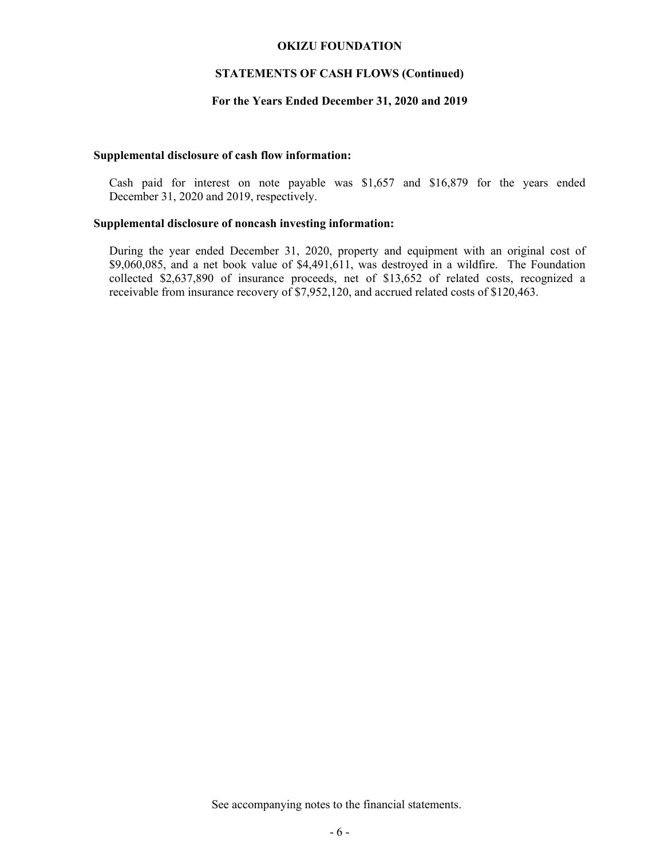## **STATEMENTS OF CASH FLOWS (Continued)**

### **For the Years Ended December 31, 2020 and 2019**

### **Supplemental disclosure of cash flow information:**

Cash paid for interest on note payable was \$1,657 and \$16,879 for the years ended December 31, 2020 and 2019, respectively.

### **Supplemental disclosure of noncash investing information:**

During the year ended December 31, 2020, property and equipment with an original cost of \$9,060,085, and a net book value of \$4,491,611, was destroyed in a wildfire. The Foundation collected \$2,637,890 of insurance proceeds, net of \$13,652 of related costs, recognized a receivable from insurance recovery of \$7,952,120, and accrued related costs of \$120,463.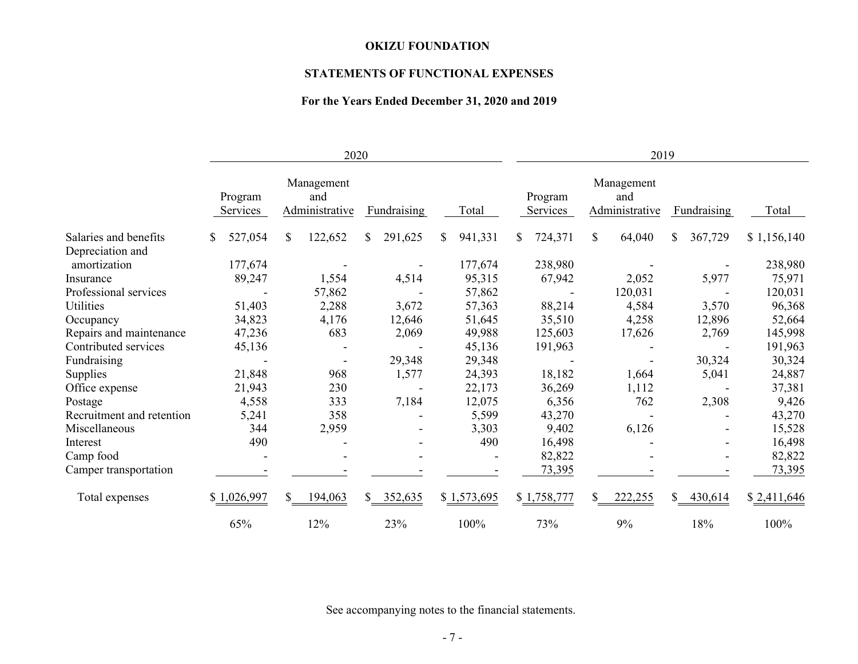# **STATEMENTS OF FUNCTIONAL EXPENSES**

# **For the Years Ended December 31, 2020 and 2019**

|                           | 2020                |         |              |                                     |    |             | 2019 |             |     |                     |    |                                     |              |             |             |
|---------------------------|---------------------|---------|--------------|-------------------------------------|----|-------------|------|-------------|-----|---------------------|----|-------------------------------------|--------------|-------------|-------------|
|                           | Program<br>Services |         |              | Management<br>and<br>Administrative |    | Fundraising |      | Total       |     | Program<br>Services |    | Management<br>and<br>Administrative |              | Fundraising | Total       |
| Salaries and benefits     | \$                  | 527,054 | \$           | 122,652                             | \$ | 291,625     | S.   | 941,331     | \$. | 724,371             | \$ | 64,040                              | \$           | 367,729     | \$1,156,140 |
| Depreciation and          |                     |         |              |                                     |    |             |      |             |     |                     |    |                                     |              |             |             |
| amortization              |                     | 177,674 |              |                                     |    |             |      | 177,674     |     | 238,980             |    |                                     |              |             | 238,980     |
| Insurance                 |                     | 89,247  |              | 1,554                               |    | 4,514       |      | 95,315      |     | 67,942              |    | 2,052                               |              | 5,977       | 75,971      |
| Professional services     |                     |         |              | 57,862                              |    |             |      | 57,862      |     |                     |    | 120,031                             |              |             | 120,031     |
| Utilities                 |                     | 51,403  |              | 2,288                               |    | 3,672       |      | 57,363      |     | 88,214              |    | 4,584                               |              | 3,570       | 96,368      |
| Occupancy                 |                     | 34,823  |              | 4,176                               |    | 12,646      |      | 51,645      |     | 35,510              |    | 4,258                               |              | 12,896      | 52,664      |
| Repairs and maintenance   |                     | 47,236  |              | 683                                 |    | 2,069       |      | 49,988      |     | 125,603             |    | 17,626                              |              | 2,769       | 145,998     |
| Contributed services      |                     | 45,136  |              |                                     |    |             |      | 45,136      |     | 191,963             |    |                                     |              |             | 191,963     |
| Fundraising               |                     |         |              | $\overline{\phantom{a}}$            |    | 29,348      |      | 29,348      |     |                     |    |                                     |              | 30,324      | 30,324      |
| Supplies                  |                     | 21,848  |              | 968                                 |    | 1,577       |      | 24,393      |     | 18,182              |    | 1,664                               |              | 5,041       | 24,887      |
| Office expense            |                     | 21,943  |              | 230                                 |    |             |      | 22,173      |     | 36,269              |    | 1,112                               |              |             | 37,381      |
| Postage                   |                     | 4,558   |              | 333                                 |    | 7,184       |      | 12,075      |     | 6,356               |    | 762                                 |              | 2,308       | 9,426       |
| Recruitment and retention |                     | 5,241   |              | 358                                 |    |             |      | 5,599       |     | 43,270              |    |                                     |              |             | 43,270      |
| Miscellaneous             |                     | 344     |              | 2,959                               |    |             |      | 3,303       |     | 9,402               |    | 6,126                               |              |             | 15,528      |
| Interest                  |                     | 490     |              |                                     |    |             |      | 490         |     | 16,498              |    |                                     |              |             | 16,498      |
| Camp food                 |                     |         |              |                                     |    |             |      |             |     | 82,822              |    |                                     |              |             | 82,822      |
| Camper transportation     |                     |         |              |                                     |    |             |      |             |     | 73,395              |    |                                     |              |             | 73,395      |
| Total expenses            | \$1,026,997         |         | $\mathbb{S}$ | 194,063                             |    | \$352,635   |      | \$1,573,695 |     | \$1,758,777         | S. | 222,255                             | $\mathbb{S}$ | 430,614     | \$2,411,646 |
|                           | 65%                 |         |              | 12%                                 |    | 23%         |      | 100%        |     | 73%                 |    | 9%                                  |              | 18%         | 100%        |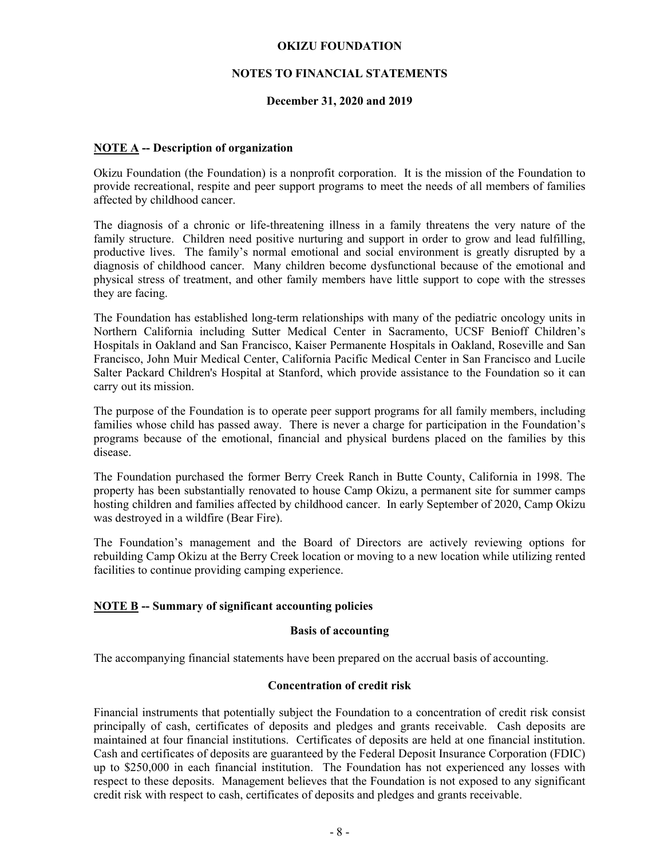# **NOTES TO FINANCIAL STATEMENTS**

## **December 31, 2020 and 2019**

## **NOTE A -- Description of organization**

Okizu Foundation (the Foundation) is a nonprofit corporation. It is the mission of the Foundation to provide recreational, respite and peer support programs to meet the needs of all members of families affected by childhood cancer.

The diagnosis of a chronic or life-threatening illness in a family threatens the very nature of the family structure. Children need positive nurturing and support in order to grow and lead fulfilling, productive lives. The family's normal emotional and social environment is greatly disrupted by a diagnosis of childhood cancer. Many children become dysfunctional because of the emotional and physical stress of treatment, and other family members have little support to cope with the stresses they are facing.

The Foundation has established long-term relationships with many of the pediatric oncology units in Northern California including Sutter Medical Center in Sacramento, UCSF Benioff Children's Hospitals in Oakland and San Francisco, Kaiser Permanente Hospitals in Oakland, Roseville and San Francisco, John Muir Medical Center, California Pacific Medical Center in San Francisco and Lucile Salter Packard Children's Hospital at Stanford, which provide assistance to the Foundation so it can carry out its mission.

The purpose of the Foundation is to operate peer support programs for all family members, including families whose child has passed away. There is never a charge for participation in the Foundation's programs because of the emotional, financial and physical burdens placed on the families by this disease.

The Foundation purchased the former Berry Creek Ranch in Butte County, California in 1998. The property has been substantially renovated to house Camp Okizu, a permanent site for summer camps hosting children and families affected by childhood cancer. In early September of 2020, Camp Okizu was destroyed in a wildfire (Bear Fire).

The Foundation's management and the Board of Directors are actively reviewing options for rebuilding Camp Okizu at the Berry Creek location or moving to a new location while utilizing rented facilities to continue providing camping experience.

### **NOTE B -- Summary of significant accounting policies**

### **Basis of accounting**

The accompanying financial statements have been prepared on the accrual basis of accounting.

## **Concentration of credit risk**

Financial instruments that potentially subject the Foundation to a concentration of credit risk consist principally of cash, certificates of deposits and pledges and grants receivable. Cash deposits are maintained at four financial institutions. Certificates of deposits are held at one financial institution. Cash and certificates of deposits are guaranteed by the Federal Deposit Insurance Corporation (FDIC) up to \$250,000 in each financial institution. The Foundation has not experienced any losses with respect to these deposits. Management believes that the Foundation is not exposed to any significant credit risk with respect to cash, certificates of deposits and pledges and grants receivable.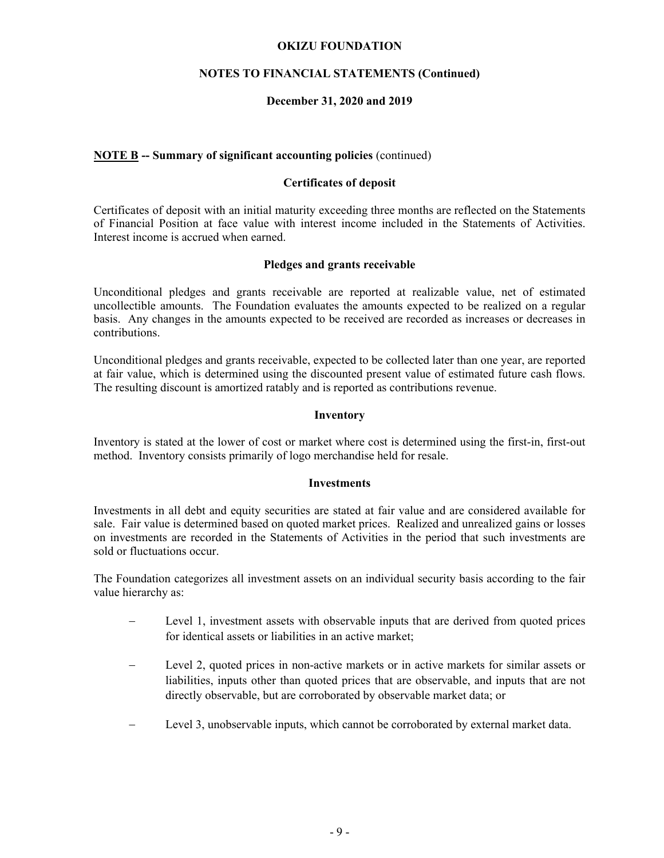## **NOTES TO FINANCIAL STATEMENTS (Continued)**

## **December 31, 2020 and 2019**

## **NOTE B -- Summary of significant accounting policies** (continued)

## **Certificates of deposit**

Certificates of deposit with an initial maturity exceeding three months are reflected on the Statements of Financial Position at face value with interest income included in the Statements of Activities. Interest income is accrued when earned.

## **Pledges and grants receivable**

Unconditional pledges and grants receivable are reported at realizable value, net of estimated uncollectible amounts. The Foundation evaluates the amounts expected to be realized on a regular basis. Any changes in the amounts expected to be received are recorded as increases or decreases in contributions.

Unconditional pledges and grants receivable, expected to be collected later than one year, are reported at fair value, which is determined using the discounted present value of estimated future cash flows. The resulting discount is amortized ratably and is reported as contributions revenue.

## **Inventory**

Inventory is stated at the lower of cost or market where cost is determined using the first-in, first-out method. Inventory consists primarily of logo merchandise held for resale.

### **Investments**

Investments in all debt and equity securities are stated at fair value and are considered available for sale. Fair value is determined based on quoted market prices. Realized and unrealized gains or losses on investments are recorded in the Statements of Activities in the period that such investments are sold or fluctuations occur.

The Foundation categorizes all investment assets on an individual security basis according to the fair value hierarchy as:

- Level 1, investment assets with observable inputs that are derived from quoted prices for identical assets or liabilities in an active market;
- Level 2, quoted prices in non-active markets or in active markets for similar assets or liabilities, inputs other than quoted prices that are observable, and inputs that are not directly observable, but are corroborated by observable market data; or
- Level 3, unobservable inputs, which cannot be corroborated by external market data.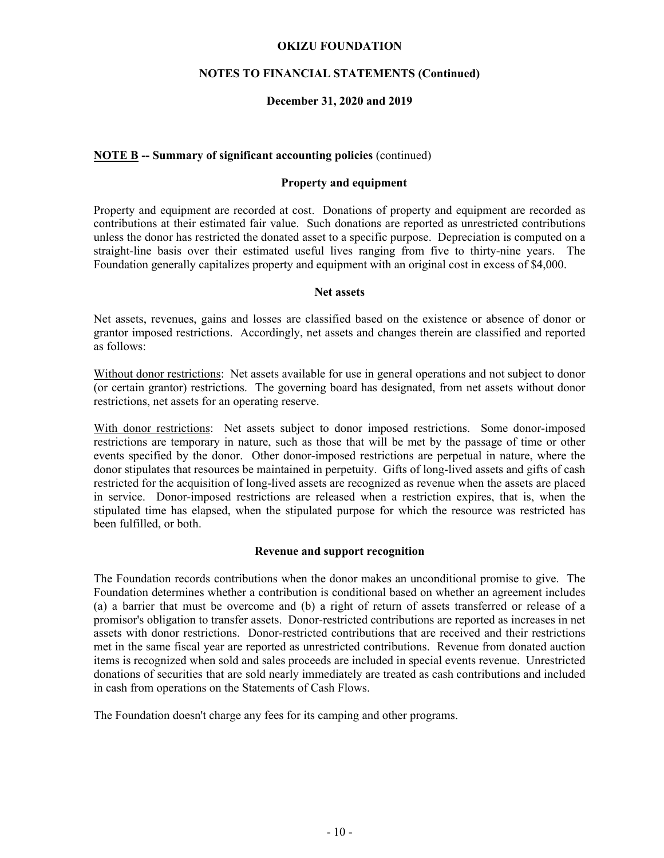## **NOTES TO FINANCIAL STATEMENTS (Continued)**

## **December 31, 2020 and 2019**

## **NOTE B -- Summary of significant accounting policies** (continued)

#### **Property and equipment**

Property and equipment are recorded at cost. Donations of property and equipment are recorded as contributions at their estimated fair value. Such donations are reported as unrestricted contributions unless the donor has restricted the donated asset to a specific purpose. Depreciation is computed on a straight-line basis over their estimated useful lives ranging from five to thirty-nine years. The Foundation generally capitalizes property and equipment with an original cost in excess of \$4,000.

#### **Net assets**

Net assets, revenues, gains and losses are classified based on the existence or absence of donor or grantor imposed restrictions. Accordingly, net assets and changes therein are classified and reported as follows:

Without donor restrictions: Net assets available for use in general operations and not subject to donor (or certain grantor) restrictions. The governing board has designated, from net assets without donor restrictions, net assets for an operating reserve.

With donor restrictions: Net assets subject to donor imposed restrictions. Some donor-imposed restrictions are temporary in nature, such as those that will be met by the passage of time or other events specified by the donor. Other donor-imposed restrictions are perpetual in nature, where the donor stipulates that resources be maintained in perpetuity. Gifts of long-lived assets and gifts of cash restricted for the acquisition of long-lived assets are recognized as revenue when the assets are placed in service. Donor-imposed restrictions are released when a restriction expires, that is, when the stipulated time has elapsed, when the stipulated purpose for which the resource was restricted has been fulfilled, or both.

### **Revenue and support recognition**

The Foundation records contributions when the donor makes an unconditional promise to give. The Foundation determines whether a contribution is conditional based on whether an agreement includes (a) a barrier that must be overcome and (b) a right of return of assets transferred or release of a promisor's obligation to transfer assets. Donor-restricted contributions are reported as increases in net assets with donor restrictions. Donor-restricted contributions that are received and their restrictions met in the same fiscal year are reported as unrestricted contributions. Revenue from donated auction items is recognized when sold and sales proceeds are included in special events revenue. Unrestricted donations of securities that are sold nearly immediately are treated as cash contributions and included in cash from operations on the Statements of Cash Flows.

The Foundation doesn't charge any fees for its camping and other programs.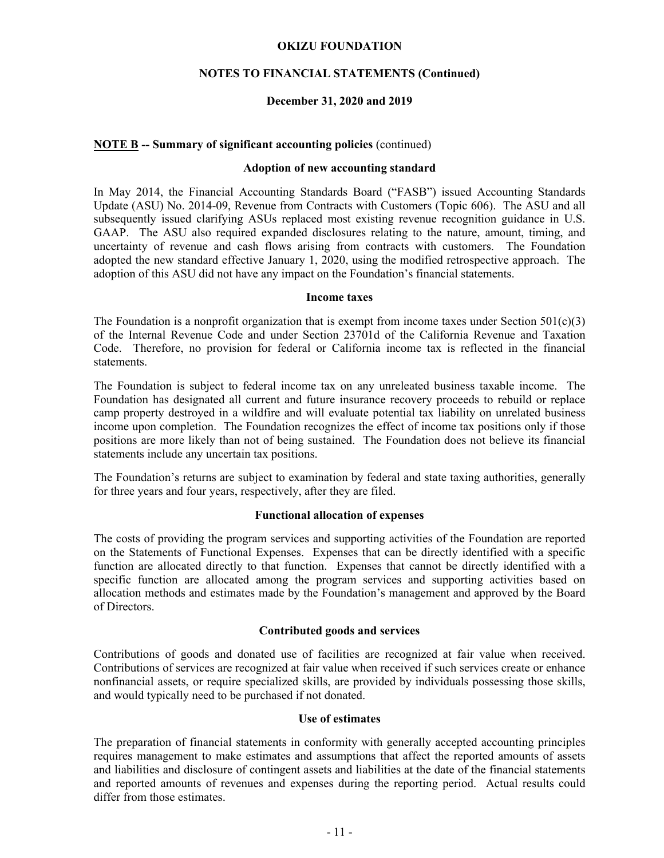## **NOTES TO FINANCIAL STATEMENTS (Continued)**

## **December 31, 2020 and 2019**

## **NOTE B -- Summary of significant accounting policies** (continued)

## **Adoption of new accounting standard**

In May 2014, the Financial Accounting Standards Board ("FASB") issued Accounting Standards Update (ASU) No. 2014-09, Revenue from Contracts with Customers (Topic 606). The ASU and all subsequently issued clarifying ASUs replaced most existing revenue recognition guidance in U.S. GAAP. The ASU also required expanded disclosures relating to the nature, amount, timing, and uncertainty of revenue and cash flows arising from contracts with customers. The Foundation adopted the new standard effective January 1, 2020, using the modified retrospective approach. The adoption of this ASU did not have any impact on the Foundation's financial statements.

#### **Income taxes**

The Foundation is a nonprofit organization that is exempt from income taxes under Section  $501(c)(3)$ of the Internal Revenue Code and under Section 23701d of the California Revenue and Taxation Code. Therefore, no provision for federal or California income tax is reflected in the financial statements.

The Foundation is subject to federal income tax on any unreleated business taxable income. The Foundation has designated all current and future insurance recovery proceeds to rebuild or replace camp property destroyed in a wildfire and will evaluate potential tax liability on unrelated business income upon completion. The Foundation recognizes the effect of income tax positions only if those positions are more likely than not of being sustained. The Foundation does not believe its financial statements include any uncertain tax positions.

The Foundation's returns are subject to examination by federal and state taxing authorities, generally for three years and four years, respectively, after they are filed.

#### **Functional allocation of expenses**

The costs of providing the program services and supporting activities of the Foundation are reported on the Statements of Functional Expenses. Expenses that can be directly identified with a specific function are allocated directly to that function. Expenses that cannot be directly identified with a specific function are allocated among the program services and supporting activities based on allocation methods and estimates made by the Foundation's management and approved by the Board of Directors.

#### **Contributed goods and services**

Contributions of goods and donated use of facilities are recognized at fair value when received. Contributions of services are recognized at fair value when received if such services create or enhance nonfinancial assets, or require specialized skills, are provided by individuals possessing those skills, and would typically need to be purchased if not donated.

### **Use of estimates**

The preparation of financial statements in conformity with generally accepted accounting principles requires management to make estimates and assumptions that affect the reported amounts of assets and liabilities and disclosure of contingent assets and liabilities at the date of the financial statements and reported amounts of revenues and expenses during the reporting period. Actual results could differ from those estimates.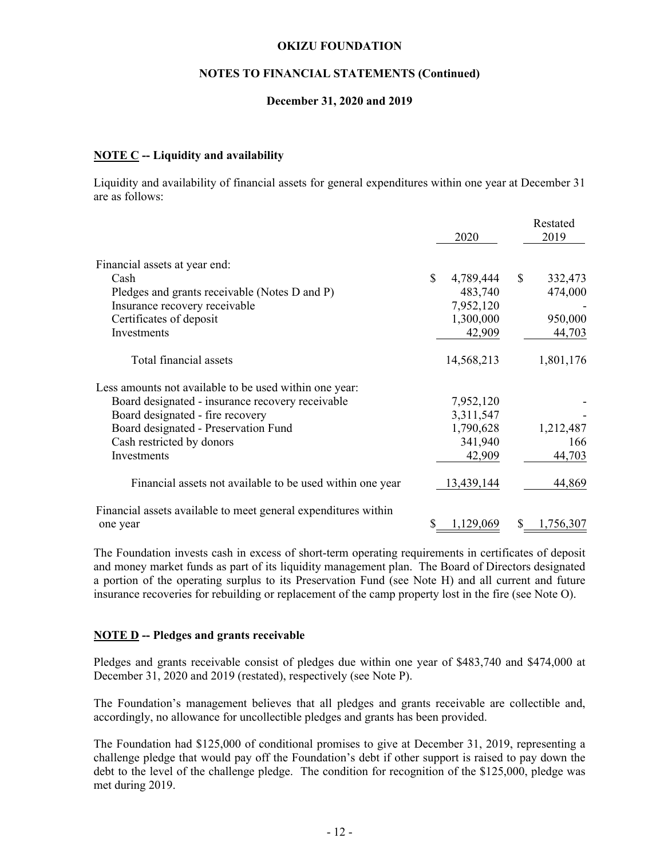## **NOTES TO FINANCIAL STATEMENTS (Continued)**

## **December 31, 2020 and 2019**

## **NOTE C -- Liquidity and availability**

Liquidity and availability of financial assets for general expenditures within one year at December 31 are as follows:

|                                                                |                 |     | Restated  |
|----------------------------------------------------------------|-----------------|-----|-----------|
|                                                                | 2020            |     | 2019      |
| Financial assets at year end:                                  |                 |     |           |
| Cash                                                           | \$<br>4,789,444 | \$  | 332,473   |
| Pledges and grants receivable (Notes D and P)                  | 483,740         |     | 474,000   |
| Insurance recovery receivable                                  | 7,952,120       |     |           |
| Certificates of deposit                                        | 1,300,000       |     | 950,000   |
| Investments                                                    | 42,909          |     | 44,703    |
| Total financial assets                                         | 14,568,213      |     | 1,801,176 |
| Less amounts not available to be used within one year:         |                 |     |           |
| Board designated - insurance recovery receivable               | 7,952,120       |     |           |
| Board designated - fire recovery                               | 3,311,547       |     |           |
| Board designated - Preservation Fund                           | 1,790,628       |     | 1,212,487 |
| Cash restricted by donors                                      | 341,940         |     | 166       |
| Investments                                                    | 42,909          |     | 44,703    |
| Financial assets not available to be used within one year      | 13,439,144      |     | 44,869    |
| Financial assets available to meet general expenditures within |                 |     |           |
| one year                                                       | 1,129,069       | \$. | 1,756,307 |

The Foundation invests cash in excess of short-term operating requirements in certificates of deposit and money market funds as part of its liquidity management plan. The Board of Directors designated a portion of the operating surplus to its Preservation Fund (see Note H) and all current and future insurance recoveries for rebuilding or replacement of the camp property lost in the fire (see Note O).

### **NOTE D -- Pledges and grants receivable**

Pledges and grants receivable consist of pledges due within one year of \$483,740 and \$474,000 at December 31, 2020 and 2019 (restated), respectively (see Note P).

The Foundation's management believes that all pledges and grants receivable are collectible and, accordingly, no allowance for uncollectible pledges and grants has been provided.

The Foundation had \$125,000 of conditional promises to give at December 31, 2019, representing a challenge pledge that would pay off the Foundation's debt if other support is raised to pay down the debt to the level of the challenge pledge. The condition for recognition of the \$125,000, pledge was met during 2019.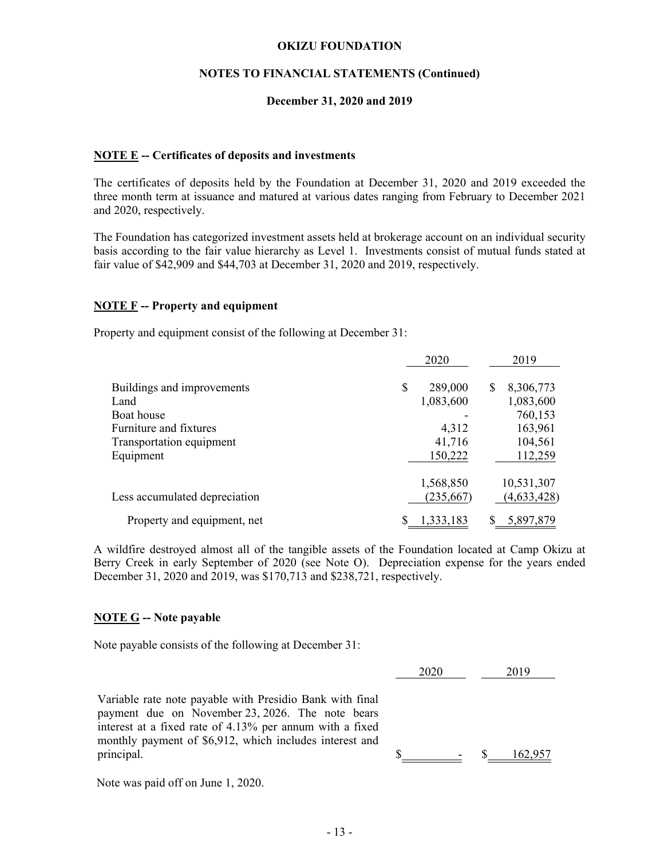# **NOTES TO FINANCIAL STATEMENTS (Continued)**

## **December 31, 2020 and 2019**

## **NOTE E -- Certificates of deposits and investments**

The certificates of deposits held by the Foundation at December 31, 2020 and 2019 exceeded the three month term at issuance and matured at various dates ranging from February to December 2021 and 2020, respectively.

The Foundation has categorized investment assets held at brokerage account on an individual security basis according to the fair value hierarchy as Level 1. Investments consist of mutual funds stated at fair value of \$42,909 and \$44,703 at December 31, 2020 and 2019, respectively.

## **NOTE F -- Property and equipment**

Property and equipment consist of the following at December 31:

|                               |    | 2020      |   | 2019        |
|-------------------------------|----|-----------|---|-------------|
| Buildings and improvements    | \$ | 289,000   | S | 8,306,773   |
| Land                          |    | 1,083,600 |   | 1,083,600   |
| Boat house                    |    |           |   | 760,153     |
| Furniture and fixtures        |    | 4,312     |   | 163,961     |
| Transportation equipment      |    | 41,716    |   | 104,561     |
| Equipment                     |    | 150,222   |   | 112,259     |
|                               |    | 1,568,850 |   | 10,531,307  |
| Less accumulated depreciation |    | (235,667) |   | (4,633,428) |
| Property and equipment, net   | S  | 1,333,183 |   | 5,897,879   |

A wildfire destroyed almost all of the tangible assets of the Foundation located at Camp Okizu at Berry Creek in early September of 2020 (see Note O). Depreciation expense for the years ended December 31, 2020 and 2019, was \$170,713 and \$238,721, respectively.

### **NOTE G -- Note payable**

Note payable consists of the following at December 31:

|                                                                                                              | 2020 |                          | 2019    |
|--------------------------------------------------------------------------------------------------------------|------|--------------------------|---------|
| Variable rate note payable with Presidio Bank with final                                                     |      |                          |         |
| payment due on November 23, 2026. The note bears<br>interest at a fixed rate of 4.13% per annum with a fixed |      |                          |         |
| monthly payment of \$6,912, which includes interest and                                                      |      |                          |         |
| principal.                                                                                                   |      | $\overline{\phantom{a}}$ | 162,957 |

Note was paid off on June 1, 2020.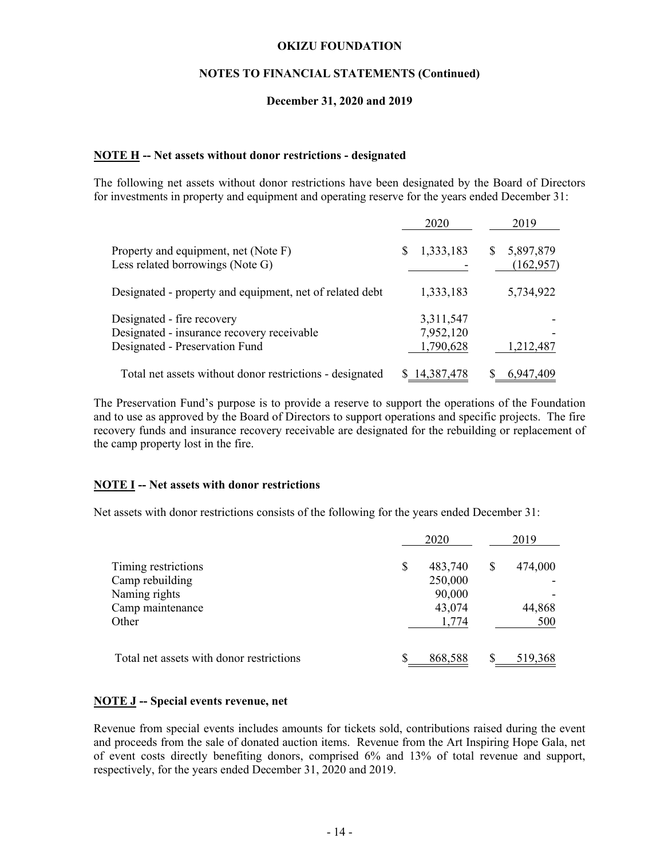## **NOTES TO FINANCIAL STATEMENTS (Continued)**

### **December 31, 2020 and 2019**

## **NOTE H -- Net assets without donor restrictions - designated**

The following net assets without donor restrictions have been designated by the Board of Directors for investments in property and equipment and operating reserve for the years ended December 31:

|                                                                                                            | 2020                                | 2019                          |
|------------------------------------------------------------------------------------------------------------|-------------------------------------|-------------------------------|
| Property and equipment, net (Note F)<br>Less related borrowings (Note G)                                   | 1,333,183<br>S                      | 5,897,879<br>S.<br>(162, 957) |
| Designated - property and equipment, net of related debt                                                   | 1,333,183                           | 5,734,922                     |
| Designated - fire recovery<br>Designated - insurance recovery receivable<br>Designated - Preservation Fund | 3,311,547<br>7,952,120<br>1,790,628 | 1,212,487                     |
| Total net assets without donor restrictions - designated                                                   | 14,387,478                          | 6,947,409                     |

The Preservation Fund's purpose is to provide a reserve to support the operations of the Foundation and to use as approved by the Board of Directors to support operations and specific projects. The fire recovery funds and insurance recovery receivable are designated for the rebuilding or replacement of the camp property lost in the fire.

## **NOTE I -- Net assets with donor restrictions**

Net assets with donor restrictions consists of the following for the years ended December 31:

|                                          | 2020          |   | 2019    |
|------------------------------------------|---------------|---|---------|
| Timing restrictions                      | \$<br>483,740 | S | 474,000 |
| Camp rebuilding                          | 250,000       |   |         |
| Naming rights                            | 90,000        |   |         |
| Camp maintenance                         | 43,074        |   | 44,868  |
| Other                                    | 1,774         |   | 500     |
| Total net assets with donor restrictions | 868,588       |   | 519,368 |

### **NOTE J -- Special events revenue, net**

Revenue from special events includes amounts for tickets sold, contributions raised during the event and proceeds from the sale of donated auction items. Revenue from the Art Inspiring Hope Gala, net of event costs directly benefiting donors, comprised 6% and 13% of total revenue and support, respectively, for the years ended December 31, 2020 and 2019.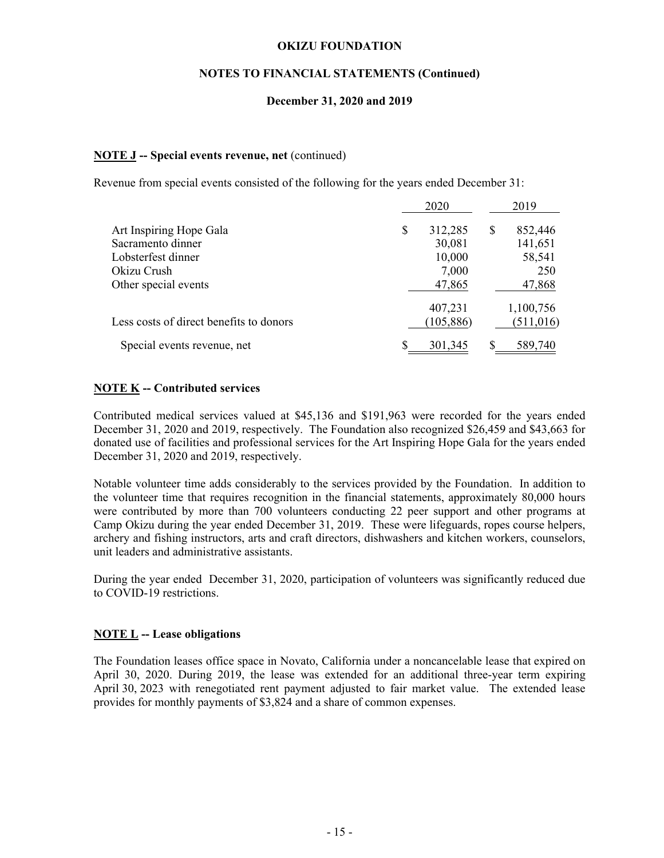## **NOTES TO FINANCIAL STATEMENTS (Continued)**

## **December 31, 2020 and 2019**

#### **NOTE J -- Special events revenue, net** (continued)

Revenue from special events consisted of the following for the years ended December 31:

|                                         | 2020          |   | 2019       |
|-----------------------------------------|---------------|---|------------|
| Art Inspiring Hope Gala                 | \$<br>312,285 | S | 852,446    |
| Sacramento dinner                       | 30,081        |   | 141,651    |
| Lobsterfest dinner                      | 10,000        |   | 58,541     |
| Okizu Crush                             | 7,000         |   | 250        |
| Other special events                    | 47,865        |   | 47,868     |
|                                         | 407,231       |   | 1,100,756  |
| Less costs of direct benefits to donors | (105, 886)    |   | (511, 016) |
| Special events revenue, net             | \$<br>301,345 |   | 589,740    |

### **NOTE K -- Contributed services**

Contributed medical services valued at \$45,136 and \$191,963 were recorded for the years ended December 31, 2020 and 2019, respectively. The Foundation also recognized \$26,459 and \$43,663 for donated use of facilities and professional services for the Art Inspiring Hope Gala for the years ended December 31, 2020 and 2019, respectively.

Notable volunteer time adds considerably to the services provided by the Foundation. In addition to the volunteer time that requires recognition in the financial statements, approximately 80,000 hours were contributed by more than 700 volunteers conducting 22 peer support and other programs at Camp Okizu during the year ended December 31, 2019. These were lifeguards, ropes course helpers, archery and fishing instructors, arts and craft directors, dishwashers and kitchen workers, counselors, unit leaders and administrative assistants.

During the year ended December 31, 2020, participation of volunteers was significantly reduced due to COVID-19 restrictions.

#### **NOTE L -- Lease obligations**

The Foundation leases office space in Novato, California under a noncancelable lease that expired on April 30, 2020. During 2019, the lease was extended for an additional three-year term expiring April 30, 2023 with renegotiated rent payment adjusted to fair market value. The extended lease provides for monthly payments of \$3,824 and a share of common expenses.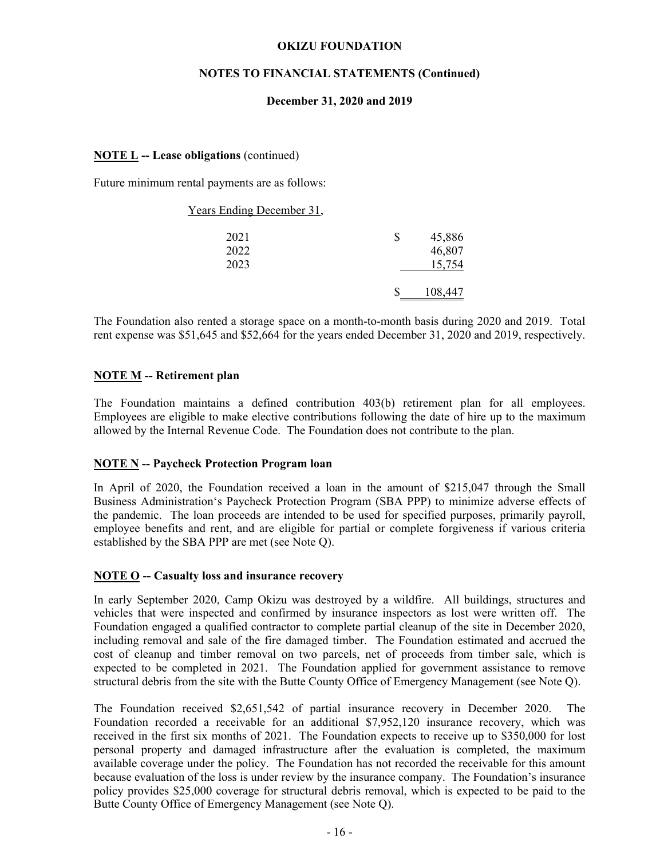## **NOTES TO FINANCIAL STATEMENTS (Continued)**

## **December 31, 2020 and 2019**

## **NOTE L -- Lease obligations** (continued)

Future minimum rental payments are as follows:

| Years Ending December 31, |          |         |
|---------------------------|----------|---------|
| 2021                      | <b>S</b> | 45,886  |
| 2022                      |          | 46,807  |
| 2023                      |          | 15,754  |
|                           |          | 108,447 |

The Foundation also rented a storage space on a month-to-month basis during 2020 and 2019. Total rent expense was \$51,645 and \$52,664 for the years ended December 31, 2020 and 2019, respectively.

## **NOTE M -- Retirement plan**

The Foundation maintains a defined contribution 403(b) retirement plan for all employees. Employees are eligible to make elective contributions following the date of hire up to the maximum allowed by the Internal Revenue Code. The Foundation does not contribute to the plan.

### **NOTE N -- Paycheck Protection Program loan**

In April of 2020, the Foundation received a loan in the amount of \$215,047 through the Small Business Administration's Paycheck Protection Program (SBA PPP) to minimize adverse effects of the pandemic. The loan proceeds are intended to be used for specified purposes, primarily payroll, employee benefits and rent, and are eligible for partial or complete forgiveness if various criteria established by the SBA PPP are met (see Note Q).

### **NOTE O -- Casualty loss and insurance recovery**

In early September 2020, Camp Okizu was destroyed by a wildfire. All buildings, structures and vehicles that were inspected and confirmed by insurance inspectors as lost were written off. The Foundation engaged a qualified contractor to complete partial cleanup of the site in December 2020, including removal and sale of the fire damaged timber. The Foundation estimated and accrued the cost of cleanup and timber removal on two parcels, net of proceeds from timber sale, which is expected to be completed in 2021. The Foundation applied for government assistance to remove structural debris from the site with the Butte County Office of Emergency Management (see Note Q).

The Foundation received \$2,651,542 of partial insurance recovery in December 2020. The Foundation recorded a receivable for an additional \$7,952,120 insurance recovery, which was received in the first six months of 2021. The Foundation expects to receive up to \$350,000 for lost personal property and damaged infrastructure after the evaluation is completed, the maximum available coverage under the policy. The Foundation has not recorded the receivable for this amount because evaluation of the loss is under review by the insurance company. The Foundation's insurance policy provides \$25,000 coverage for structural debris removal, which is expected to be paid to the Butte County Office of Emergency Management (see Note Q).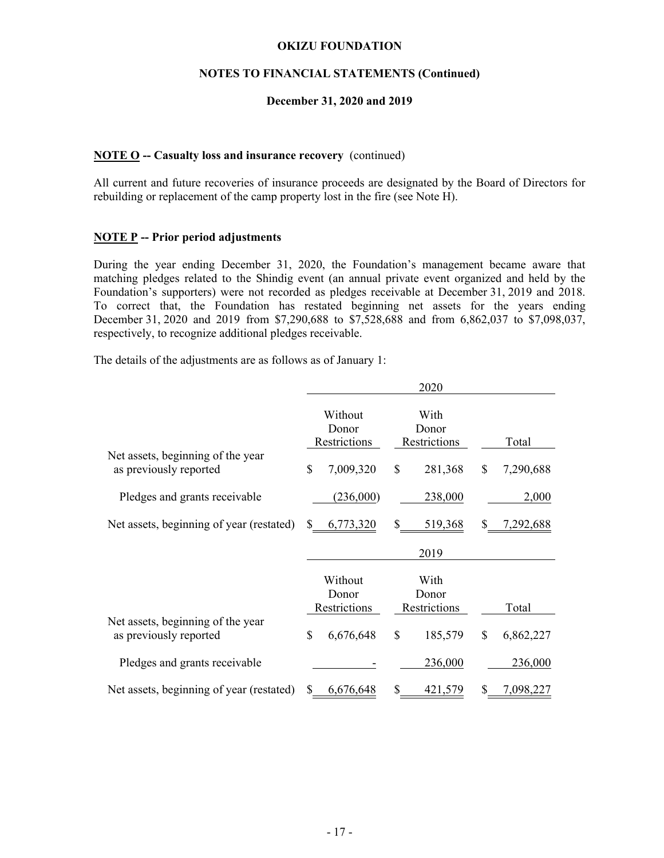## **NOTES TO FINANCIAL STATEMENTS (Continued)**

### **December 31, 2020 and 2019**

## **NOTE O -- Casualty loss and insurance recovery** (continued)

All current and future recoveries of insurance proceeds are designated by the Board of Directors for rebuilding or replacement of the camp property lost in the fire (see Note H).

### **NOTE P -- Prior period adjustments**

During the year ending December 31, 2020, the Foundation's management became aware that matching pledges related to the Shindig event (an annual private event organized and held by the Foundation's supporters) were not recorded as pledges receivable at December 31, 2019 and 2018. To correct that, the Foundation has restated beginning net assets for the years ending December 31, 2020 and 2019 from \$7,290,688 to \$7,528,688 and from 6,862,037 to \$7,098,037, respectively, to recognize additional pledges receivable.

The details of the adjustments are as follows as of January 1:

|                                                             |                                  | 2020                          |                          |
|-------------------------------------------------------------|----------------------------------|-------------------------------|--------------------------|
|                                                             | Without<br>Donor<br>Restrictions | With<br>Donor<br>Restrictions | Total                    |
| Net assets, beginning of the year<br>as previously reported | \$<br>7,009,320                  | \$<br>281,368                 | 7,290,688<br>\$          |
| Pledges and grants receivable                               | (236,000)                        | 238,000                       | 2,000                    |
| Net assets, beginning of year (restated)                    | \$<br>6,773,320                  | \$<br>519,368                 | 7,292,688                |
|                                                             |                                  | 2019                          |                          |
|                                                             | Without<br>Donor                 | With<br>Donor                 |                          |
| Net assets, beginning of the year<br>as previously reported | Restrictions<br>\$<br>6,676,648  | Restrictions<br>\$<br>185,579 | Total<br>\$<br>6,862,227 |
|                                                             |                                  |                               |                          |
| Pledges and grants receivable                               |                                  | 236,000                       | 236,000                  |